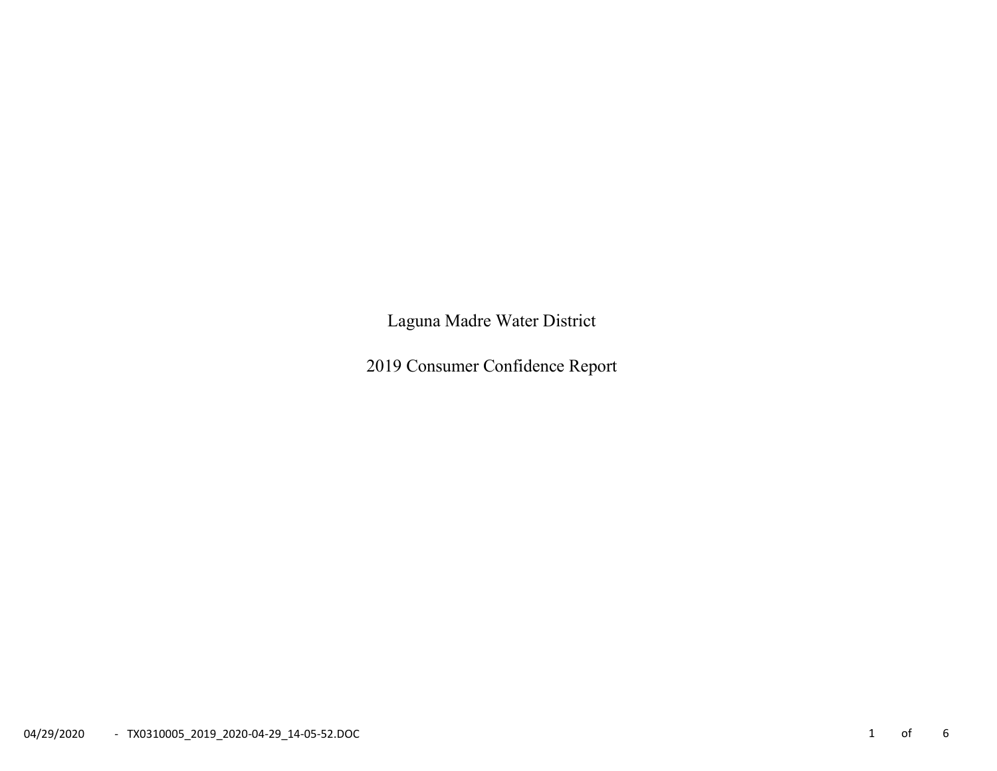Laguna Madre Water District

2019 Consumer Confidence Report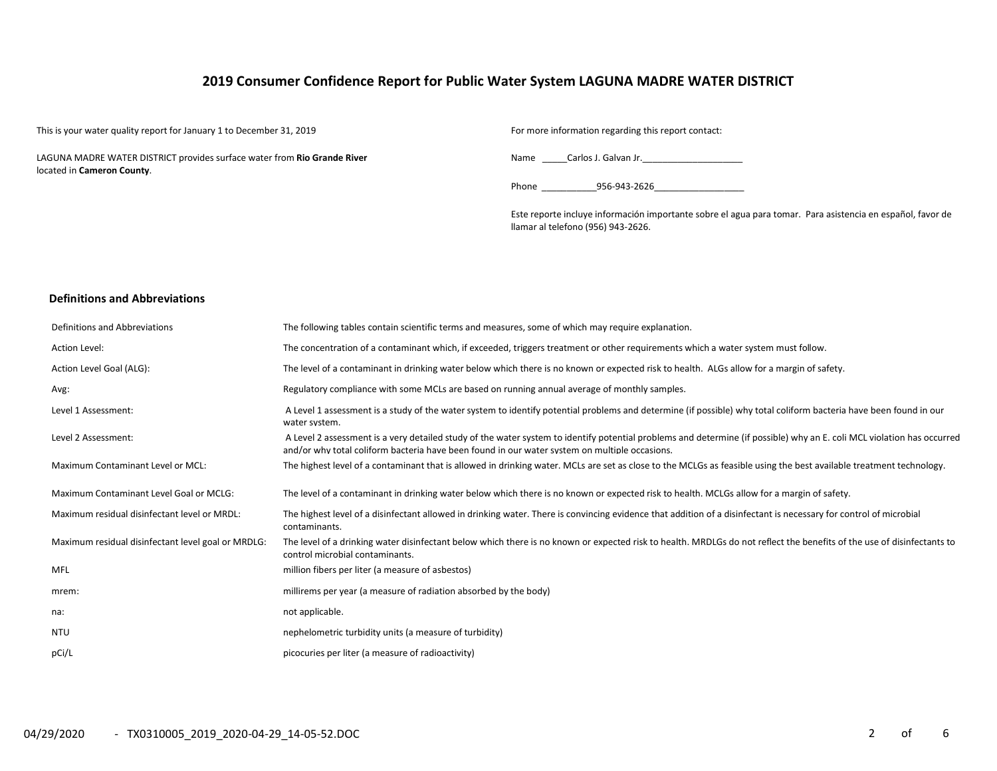# 2019 Consumer Confidence Report for Public Water System LAGUNA MADRE WATER DISTRICT

This is your water quality report for January 1 to December 31, 2019 For more information regarding this report contact:

LAGUNA MADRE WATER DISTRICT provides surface water from Rio Grande River located in Cameron County.

Name Carlos J. Galvan Jr.

Phone 256-943-2626

Este reporte incluye información importante sobre el agua para tomar. Para asistencia en español, favor de llamar al telefono (956) 943-2626.

## Definitions and Abbreviations

| Definitions and Abbreviations                      | The following tables contain scientific terms and measures, some of which may require explanation.                                                                                                                                                                      |
|----------------------------------------------------|-------------------------------------------------------------------------------------------------------------------------------------------------------------------------------------------------------------------------------------------------------------------------|
| Action Level:                                      | The concentration of a contaminant which, if exceeded, triggers treatment or other requirements which a water system must follow.                                                                                                                                       |
| Action Level Goal (ALG):                           | The level of a contaminant in drinking water below which there is no known or expected risk to health. ALGs allow for a margin of safety.                                                                                                                               |
| Avg:                                               | Regulatory compliance with some MCLs are based on running annual average of monthly samples.                                                                                                                                                                            |
| Level 1 Assessment:                                | A Level 1 assessment is a study of the water system to identify potential problems and determine (if possible) why total coliform bacteria have been found in our<br>water system.                                                                                      |
| Level 2 Assessment:                                | A Level 2 assessment is a very detailed study of the water system to identify potential problems and determine (if possible) why an E. coli MCL violation has occurred<br>and/or why total coliform bacteria have been found in our water system on multiple occasions. |
| Maximum Contaminant Level or MCL:                  | The highest level of a contaminant that is allowed in drinking water. MCLs are set as close to the MCLGs as feasible using the best available treatment technology.                                                                                                     |
| Maximum Contaminant Level Goal or MCLG:            | The level of a contaminant in drinking water below which there is no known or expected risk to health. MCLGs allow for a margin of safety.                                                                                                                              |
| Maximum residual disinfectant level or MRDL:       | The highest level of a disinfectant allowed in drinking water. There is convincing evidence that addition of a disinfectant is necessary for control of microbial<br>contaminants.                                                                                      |
| Maximum residual disinfectant level goal or MRDLG: | The level of a drinking water disinfectant below which there is no known or expected risk to health. MRDLGs do not reflect the benefits of the use of disinfectants to<br>control microbial contaminants.                                                               |
| MFL                                                | million fibers per liter (a measure of asbestos)                                                                                                                                                                                                                        |
| mrem:                                              | millirems per year (a measure of radiation absorbed by the body)                                                                                                                                                                                                        |
| na:                                                | not applicable.                                                                                                                                                                                                                                                         |
| <b>NTU</b>                                         | nephelometric turbidity units (a measure of turbidity)                                                                                                                                                                                                                  |
| pCi/L                                              | picocuries per liter (a measure of radioactivity)                                                                                                                                                                                                                       |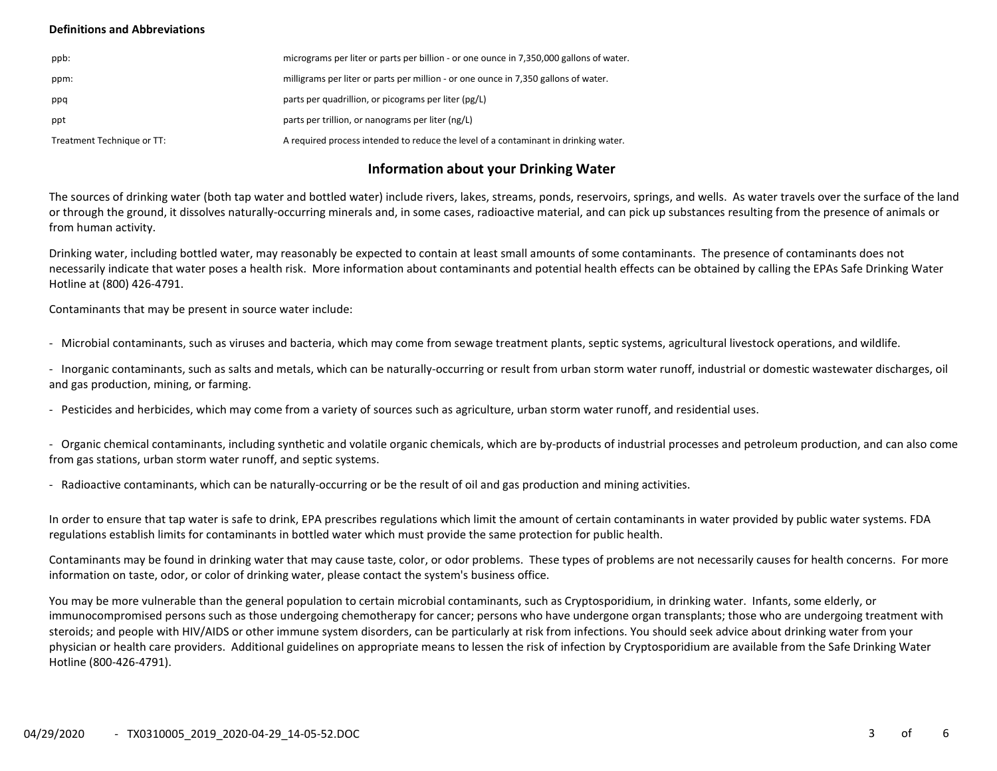## Definitions and Abbreviations

| ppb:                       | micrograms per liter or parts per billion - or one ounce in 7,350,000 gallons of water. |
|----------------------------|-----------------------------------------------------------------------------------------|
| ppm:                       | milligrams per liter or parts per million - or one ounce in 7,350 gallons of water.     |
| ppq                        | parts per quadrillion, or picograms per liter (pg/L)                                    |
| ppt                        | parts per trillion, or nanograms per liter (ng/L)                                       |
| Treatment Technique or TT: | A required process intended to reduce the level of a contaminant in drinking water.     |

## Information about your Drinking Water

The sources of drinking water (both tap water and bottled water) include rivers, lakes, streams, ponds, reservoirs, springs, and wells. As water travels over the surface of the land or through the ground, it dissolves naturally-occurring minerals and, in some cases, radioactive material, and can pick up substances resulting from the presence of animals or from human activity.

Drinking water, including bottled water, may reasonably be expected to contain at least small amounts of some contaminants. The presence of contaminants does not necessarily indicate that water poses a health risk. More information about contaminants and potential health effects can be obtained by calling the EPAs Safe Drinking Water Hotline at (800) 426-4791.

Contaminants that may be present in source water include:

- Microbial contaminants, such as viruses and bacteria, which may come from sewage treatment plants, septic systems, agricultural livestock operations, and wildlife.

- Inorganic contaminants, such as salts and metals, which can be naturally-occurring or result from urban storm water runoff, industrial or domestic wastewater discharges, oil and gas production, mining, or farming.

- Pesticides and herbicides, which may come from a variety of sources such as agriculture, urban storm water runoff, and residential uses.

- Organic chemical contaminants, including synthetic and volatile organic chemicals, which are by-products of industrial processes and petroleum production, and can also come from gas stations, urban storm water runoff, and septic systems.

- Radioactive contaminants, which can be naturally-occurring or be the result of oil and gas production and mining activities.

In order to ensure that tap water is safe to drink, EPA prescribes regulations which limit the amount of certain contaminants in water provided by public water systems. FDA regulations establish limits for contaminants in bottled water which must provide the same protection for public health.

Contaminants may be found in drinking water that may cause taste, color, or odor problems. These types of problems are not necessarily causes for health concerns. For more information on taste, odor, or color of drinking water, please contact the system's business office.

You may be more vulnerable than the general population to certain microbial contaminants, such as Cryptosporidium, in drinking water. Infants, some elderly, or immunocompromised persons such as those undergoing chemotherapy for cancer; persons who have undergone organ transplants; those who are undergoing treatment with steroids; and people with HIV/AIDS or other immune system disorders, can be particularly at risk from infections. You should seek advice about drinking water from your physician or health care providers. Additional guidelines on appropriate means to lessen the risk of infection by Cryptosporidium are available from the Safe Drinking Water Hotline (800-426-4791).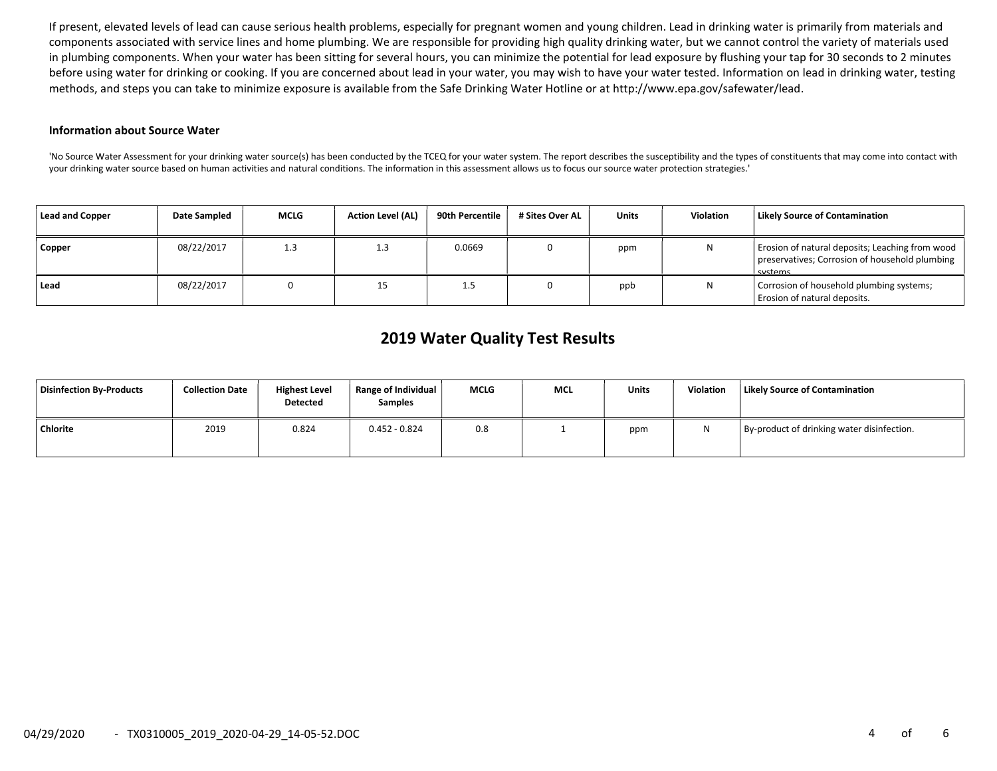If present, elevated levels of lead can cause serious health problems, especially for pregnant women and young children. Lead in drinking water is primarily from materials and components associated with service lines and home plumbing. We are responsible for providing high quality drinking water, but we cannot control the variety of materials used in plumbing components. When your water has been sitting for several hours, you can minimize the potential for lead exposure by flushing your tap for 30 seconds to 2 minutes before using water for drinking or cooking. If you are concerned about lead in your water, you may wish to have your water tested. Information on lead in drinking water, testing methods, and steps you can take to minimize exposure is available from the Safe Drinking Water Hotline or at http://www.epa.gov/safewater/lead.

#### Information about Source Water

'No Source Water Assessment for your drinking water source(s) has been conducted by the TCEQ for your water system. The report describes the susceptibility and the types of constituents that may come into contact with your drinking water source based on human activities and natural conditions. The information in this assessment allows us to focus our source water protection strategies.'

| <b>Lead and Copper</b> | Date Sampled | MCLG | <b>Action Level (AL)</b> | 90th Percentile | # Sites Over AL | Units | <b>Violation</b> | <b>Likely Source of Contamination</b>                                                                              |
|------------------------|--------------|------|--------------------------|-----------------|-----------------|-------|------------------|--------------------------------------------------------------------------------------------------------------------|
| Copper                 | 08/22/2017   | 1.3  | 1.3                      | 0.0669          |                 | ppm   | Ν                | Erosion of natural deposits; Leaching from wood  <br>preservatives; Corrosion of household plumbing  <br>l svstems |
| Lead                   | 08/22/2017   |      |                          | <b></b>         |                 | ppb   | Ν                | Corrosion of household plumbing systems;<br>Erosion of natural deposits.                                           |

# 2019 Water Quality Test Results

| Disinfection By-Products | <b>Collection Date</b> | <b>Highest Level</b><br><b>Detected</b> | Range of Individual<br><b>Samples</b> | <b>MCLG</b> | <b>MCL</b> | <b>Units</b> | Violation | Likely Source of Contamination             |
|--------------------------|------------------------|-----------------------------------------|---------------------------------------|-------------|------------|--------------|-----------|--------------------------------------------|
| <b>Chlorite</b>          | 2019                   | 0.824                                   | $0.452 - 0.824$                       | 0.8         |            | ppm          |           | By-product of drinking water disinfection. |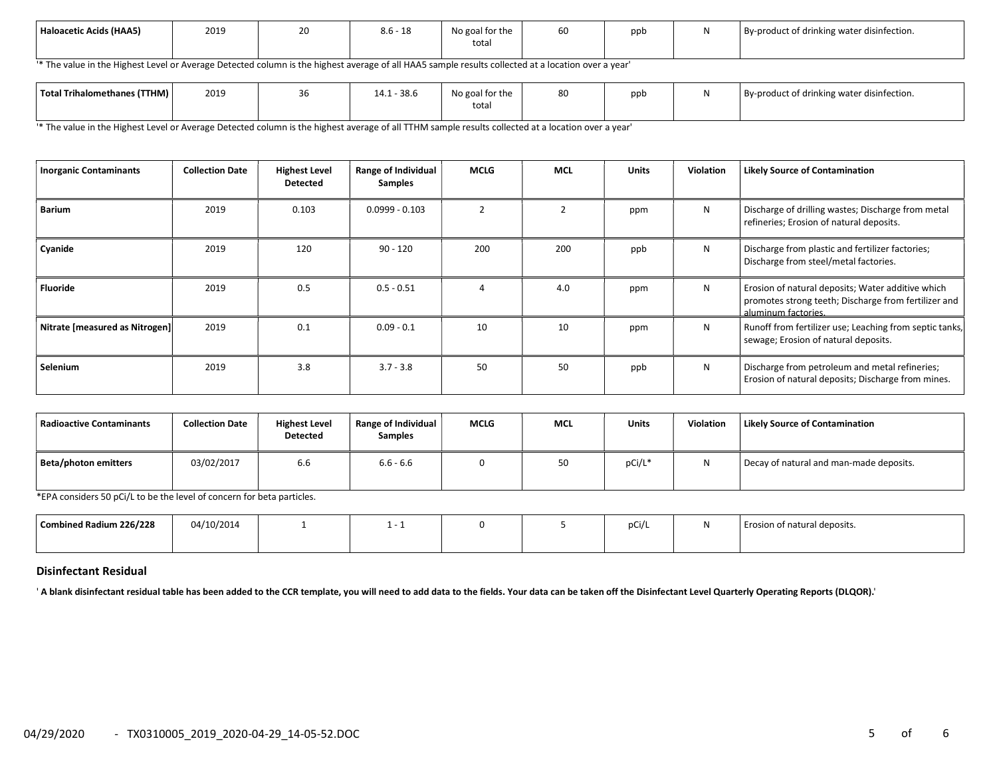| Haloacetic Acids (HAA5) | 2019 | 20 | $\sim$<br>$\overline{10}$<br>8.0 - 18 | .<br>No goal for the<br>total | $\sim$ $\sim$<br>ьu | ppb | By-product of drinking water disinfection. |
|-------------------------|------|----|---------------------------------------|-------------------------------|---------------------|-----|--------------------------------------------|
|                         |      |    |                                       |                               |                     |     |                                            |

'\* The value in the Highest Level or Average Detected column is the highest average of all HAA5 sample results collected at a location over a year'

| <b>Total Trihalomethanes (TTHM)</b> | 2019 | 30 | $-38.6$<br>111<br>14.1 | $\sim$ $\sim$<br>No goal for the<br>total | 80 | ppb | .<br>By-product of drinking water disinfection. |
|-------------------------------------|------|----|------------------------|-------------------------------------------|----|-----|-------------------------------------------------|
|                                     |      |    |                        |                                           |    |     |                                                 |

'\* The value in the Highest Level or Average Detected column is the highest average of all TTHM sample results collected at a location over a year'

| <b>Inorganic Contaminants</b>  | <b>Collection Date</b> | <b>Highest Level</b><br><b>Detected</b> | Range of Individual<br><b>Samples</b> | <b>MCLG</b> | <b>MCL</b>     | <b>Units</b> | <b>Violation</b> | <b>Likely Source of Contamination</b>                                                                                            |
|--------------------------------|------------------------|-----------------------------------------|---------------------------------------|-------------|----------------|--------------|------------------|----------------------------------------------------------------------------------------------------------------------------------|
| <b>Barium</b>                  | 2019                   | 0.103                                   | $0.0999 - 0.103$                      |             | $\overline{2}$ | ppm          | N                | Discharge of drilling wastes; Discharge from metal<br>refineries; Erosion of natural deposits.                                   |
| Cyanide                        | 2019                   | 120                                     | $90 - 120$                            | 200         | 200            | ppb          | N                | Discharge from plastic and fertilizer factories;<br>Discharge from steel/metal factories.                                        |
| Fluoride                       | 2019                   | 0.5                                     | $0.5 - 0.51$                          |             | 4.0            | ppm          | N                | Erosion of natural deposits; Water additive which<br>promotes strong teeth; Discharge from fertilizer and<br>aluminum factories. |
| Nitrate [measured as Nitrogen] | 2019                   | 0.1                                     | $0.09 - 0.1$                          | 10          | 10             | ppm          | N                | Runoff from fertilizer use; Leaching from septic tanks,<br>sewage; Erosion of natural deposits.                                  |
| Selenium                       | 2019                   | 3.8                                     | $3.7 - 3.8$                           | 50          | 50             | ppb          | N                | Discharge from petroleum and metal refineries;<br>Erosion of natural deposits; Discharge from mines.                             |

| Radioactive Contaminants | <b>Collection Date</b> | <b>Highest Level</b><br><b>Detected</b> | <b>Range of Individual</b><br><b>Samples</b> | <b>MCLG</b> | <b>MCL</b> | <b>Units</b> | <b>Violation</b> | Likely Source of Contamination          |
|--------------------------|------------------------|-----------------------------------------|----------------------------------------------|-------------|------------|--------------|------------------|-----------------------------------------|
| Beta/photon emitters     | 03/02/2017             | 6.6                                     | $6.6 - 6.6$                                  |             | 50         | pCi/L*       | N                | Decay of natural and man-made deposits. |

\*EPA considers 50 pCi/L to be the level of concern for beta particles.

| Combined Radium 226/228 | 04/10/2014 |  |  | $\mathcal{L}$ of $\mathcal{L}$<br>pur | osion of natural deposits. |
|-------------------------|------------|--|--|---------------------------------------|----------------------------|
|                         |            |  |  |                                       |                            |

#### Disinfectant Residual

' A blank disinfectant residual table has been added to the CCR template, you will need to add data to the fields. Your data can be taken off the Disinfectant Level Quarterly Operating Reports (DLQOR).'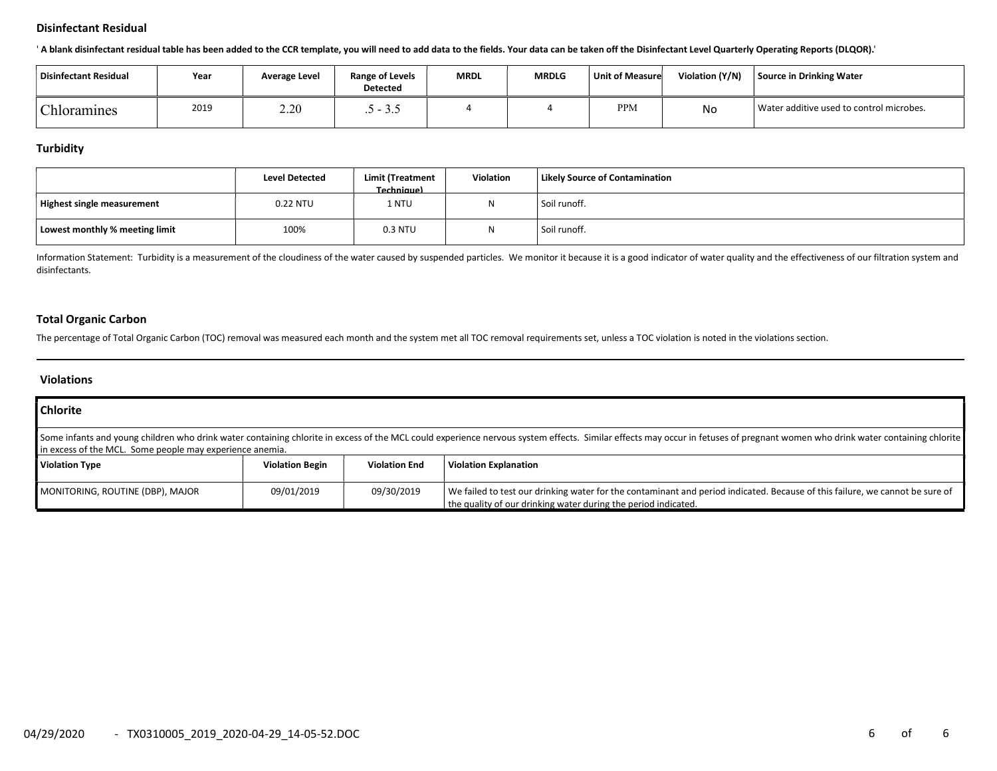### Disinfectant Residual

' A blank disinfectant residual table has been added to the CCR template, you will need to add data to the fields. Your data can be taken off the Disinfectant Level Quarterly Operating Reports (DLQOR).'

| Disinfectant Residual | Year | Average Level | <b>Range of Levels</b><br><b>Detected</b> | <b>MRDL</b> | <b>MRDLG</b> | Unit of Measure | Violation (Y/N) | Source in Drinking Water                 |
|-----------------------|------|---------------|-------------------------------------------|-------------|--------------|-----------------|-----------------|------------------------------------------|
| <b>Chloramines</b>    | 2019 | 2.20          | ن د ب                                     |             |              | <b>PPM</b>      | No              | Water additive used to control microbes. |

## **Turbidity**

|                                | <b>Level Detected</b> | Limit (Treatment<br><b>Techniquel</b> | Violation | Likely Source of Contamination |
|--------------------------------|-----------------------|---------------------------------------|-----------|--------------------------------|
| Highest single measurement     | 0.22 NTU              | 1 NTU                                 | N         | Soil runoff.                   |
| Lowest monthly % meeting limit | 100%                  | 0.3 NTU                               | M         | Soil runoff.                   |

Information Statement: Turbidity is a measurement of the cloudiness of the water caused by suspended particles. We monitor it because it is a good indicator of water quality and the effectiveness of our filtration system a disinfectants.

## Total Organic Carbon

The percentage of Total Organic Carbon (TOC) removal was measured each month and the system met all TOC removal requirements set, unless a TOC violation is noted in the violations section.

## Violations

| <b>Chlorite</b>                                                                                                                                                                                                                                                                          |                        |                      |                                                                                                                                                                                                |  |  |  |  |
|------------------------------------------------------------------------------------------------------------------------------------------------------------------------------------------------------------------------------------------------------------------------------------------|------------------------|----------------------|------------------------------------------------------------------------------------------------------------------------------------------------------------------------------------------------|--|--|--|--|
| Some infants and young children who drink water containing chlorite in excess of the MCL could experience nervous system effects. Similar effects may occur in fetuses of pregnant women who drink water containing chlorite<br>In excess of the MCL. Some people may experience anemia. |                        |                      |                                                                                                                                                                                                |  |  |  |  |
| Violation Type                                                                                                                                                                                                                                                                           | <b>Violation Begin</b> | <b>Violation End</b> | Violation Explanation                                                                                                                                                                          |  |  |  |  |
| MONITORING, ROUTINE (DBP), MAJOR                                                                                                                                                                                                                                                         | 09/01/2019             | 09/30/2019           | We failed to test our drinking water for the contaminant and period indicated. Because of this failure, we cannot be sure of<br>the quality of our drinking water during the period indicated. |  |  |  |  |